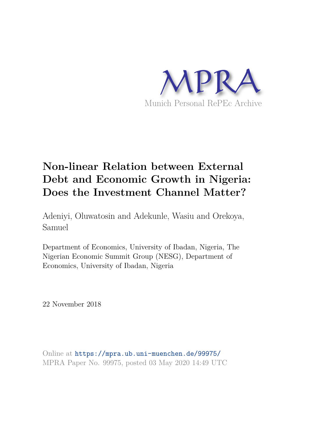

# **Non-linear Relation between External Debt and Economic Growth in Nigeria: Does the Investment Channel Matter?**

Adeniyi, Oluwatosin and Adekunle, Wasiu and Orekoya, Samuel

Department of Economics, University of Ibadan, Nigeria, The Nigerian Economic Summit Group (NESG), Department of Economics, University of Ibadan, Nigeria

22 November 2018

Online at https://mpra.ub.uni-muenchen.de/99975/ MPRA Paper No. 99975, posted 03 May 2020 14:49 UTC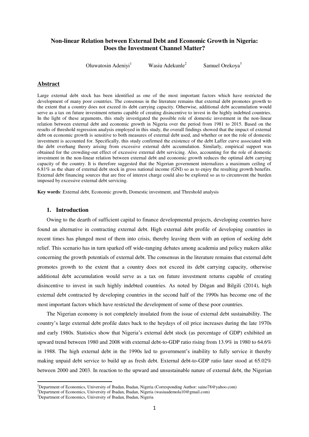# **Non-linear Relation between External Debt and Economic Growth in Nigeria: Does the Investment Channel Matter?**

Oluwatosin Adeniyi<sup>1</sup> Wasiu Adekunle<sup>2</sup> Samuel Orekoya<sup>3</sup>

# **Abstract**

Large external debt stock has been identified as one of the most important factors which have restricted the development of many poor countries. The consensus in the literature remains that external debt promotes growth to the extent that a country does not exceed its debt carrying capacity. Otherwise, additional debt accumulation would serve as a tax on future investment returns capable of creating disincentive to invest in the highly indebted countries. In the light of these arguments, this study investigated the possible role of domestic investment in the non-linear relation between external debt and economic growth in Nigeria over the period from 1981 to 2015. Based on the results of threshold regression analysis employed in this study, the overall findings showed that the impact of external debt on economic growth is sensitive to both measures of external debt used, and whether or not the role of domestic investment is accounted for. Specifically, this study confirmed the existence of the debt Laffer curve associated with the debt overhang theory arising from excessive external debt accumulation. Similarly, empirical support was obtained for the crowding-out effect of excessive external debt servicing. Also, accounting for the role of domestic investment in the non-linear relation between external debt and economic growth reduces the optimal debt carrying capacity of the country. It is therefore suggested that the Nigerian government internalizes a maximum ceiling of 6.81% as the share of external debt stock in gross national income (GNI) so as to enjoy the resulting growth benefits. External debt financing sources that are free of interest charge could also be explored so as to circumvent the burden imposed by excessive external debt servicing.

**Key words**: External debt, Economic growth, Domestic investment, and Threshold analysis

# **1. Introduction**

Owing to the dearth of sufficient capital to finance developmental projects, developing countries have found an alternative in contracting external debt. High external debt profile of developing countries in recent times has plunged most of them into crisis, thereby leaving them with an option of seeking debt relief. This scenario has in turn sparked off wide-ranging debates among academia and policy makers alike concerning the growth potentials of external debt. The consensus in the literature remains that external debt promotes growth to the extent that a country does not exceed its debt carrying capacity, otherwise additional debt accumulation would serve as a tax on future investment returns capable of creating disincentive to invest in such highly indebted countries. As noted by Dǒgan and Bilgili (2014), high external debt contracted by developing countries in the second half of the 1990s has become one of the most important factors which have restricted the development of some of these poor countries.

The Nigerian economy is not completely insulated from the issue of external debt sustainability. The country's large external debt profile dates back to the heydays of oil price increases during the late 1970s and early 1980s. Statistics show that Nigeria's external debt stock (as percentage of GDP) exhibited an upward trend between 1980 and 2008 with external debt-to-GDP ratio rising from 13.9% in 1980 to 64.6% in 1988. The high external debt in the 1990s led to government's inability to fully service it thereby making unpaid debt service to build up as fresh debt. External debt-to-GDP ratio later stood at 65.02% between 2000 and 2003. In reaction to the upward and unsustainable nature of external debt, the Nigerian

 $\overline{a}$ 

<sup>1</sup>Department of Economics, University of Ibadan, Ibadan, Nigeria (Corresponding Author: saino78@yahoo.com)

<sup>&</sup>lt;sup>2</sup>Department of Economics, University of Ibadan, Ibadan, Nigeria (wasiuademola10@gmail.com)

<sup>&</sup>lt;sup>3</sup>Department of Economics, University of Ibadan, Ibadan, Nigeria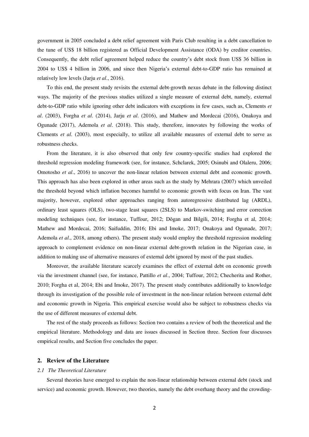government in 2005 concluded a debt relief agreement with Paris Club resulting in a debt cancellation to the tune of US\$ 18 billion registered as Official Development Assistance (ODA) by creditor countries. Consequently, the debt relief agreement helped reduce the country's debt stock from US\$ 36 billion in 2004 to US\$ 4 billion in 2006, and since then Nigeria's external debt-to-GDP ratio has remained at relatively low levels (Jarju *et al*., 2016).

To this end, the present study revisits the external debt-growth nexus debate in the following distinct ways. The majority of the previous studies utilized a single measure of external debt, namely, external debt-to-GDP ratio while ignoring other debt indicators with exceptions in few cases, such as, Clements *et al*. (2003), Forgha *et al*. (2014), Jarju *et al*. (2016), and Mathew and Mordecai (2016), Onakoya and Ogunade (2017), Ademola *et al*. (2018). This study, therefore, innovates by following the works of Clements *et al*. (2003), most especially, to utilize all available measures of external debt to serve as robustness checks.

From the literature, it is also observed that only few country-specific studies had explored the threshold regression modeling framework (see, for instance, Schclarek, 2005; Osinubi and Olaleru, 2006; Omotosho *et al*., 2016) to uncover the non-linear relation between external debt and economic growth. This approach has also been explored in other areas such as the study by Mehrara (2007) which unveiled the threshold beyond which inflation becomes harmful to economic growth with focus on Iran. The vast majority, however, explored other approaches ranging from autoregressive distributed lag (ARDL), ordinary least squares (OLS), two-stage least squares (2SLS) to Markov-switching and error correction modeling techniques (see, for instance, Tuffour, 2012; Dǒgan and Bilgili, 2014; Forgha et al, 2014; Mathew and Mordecai, 2016; Saifuddin, 2016; Ebi and Imoke, 2017; Onakoya and Ogunade, 2017; Ademola *et al*., 2018, among others). The present study would employ the threshold regression modeling approach to complement evidence on non-linear external debt-growth relation in the Nigerian case, in addition to making use of alternative measures of external debt ignored by most of the past studies.

Moreover, the available literature scarcely examines the effect of external debt on economic growth via the investment channel (see, for instance, Pattillo *et al*., 2004; Tuffour, 2012; Checherita and Rother, 2010; Forgha et al, 2014; Ebi and Imoke, 2017). The present study contributes additionally to knowledge through its investigation of the possible role of investment in the non-linear relation between external debt and economic growth in Nigeria. This empirical exercise would also be subject to robustness checks via the use of different measures of external debt.

The rest of the study proceeds as follows: Section two contains a review of both the theoretical and the empirical literature. Methodology and data are issues discussed in Section three. Section four discusses empirical results, and Section five concludes the paper.

# **2. Review of the Literature**

## *2.1 The Theoretical Literature*

Several theories have emerged to explain the non-linear relationship between external debt (stock and service) and economic growth. However, two theories, namely the debt overhang theory and the crowding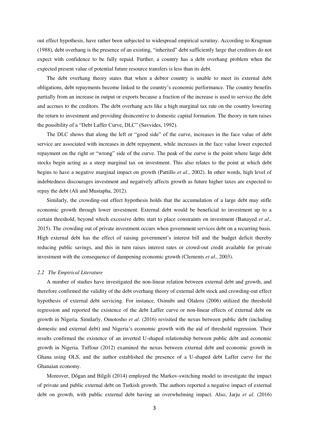out effect hypothesis, have rather been subjected to widespread empirical scrutiny. According to Krugman (1988), debt overhang is the presence of an existing, "inherited" debt sufficiently large that creditors do not expect with confidence to be fully repaid. Further, a country has a debt overhang problem when the expected present value of potential future resource transfers is less than its debt.

The debt overhang theory states that when a debtor country is unable to meet its external debt obligations, debt repayments become linked to the country's economic performance. The country benefits partially from an increase in output or exports because a fraction of the increase is used to service the debt and accrues to the creditors. The debt overhang acts like a high marginal tax rate on the country lowering the return to investment and providing disincentive to domestic capital formation. The theory in turn raises the possibility of a "Debt Laffer Curve, DLC" (Savvides, 1992).

The DLC shows that along the left or "good side" of the curve, increases in the face value of debt service are associated with increases in debt repayment, while increases in the face value lower expected repayment on the right or "wrong" side of the curve. The peak of the curve is the point where large debt stocks begin acting as a steep marginal tax on investment. This also relates to the point at which debt begins to have a negative marginal impact on growth (Pattillo *et al*., 2002). In other words, high level of indebtedness discourages investment and negatively affects growth as future higher taxes are expected to repay the debt (Ali and Mustapha, 2012).

Similarly, the crowding-out effect hypothesis holds that the accumulation of a large debt may stifle economic growth through lower investment. External debt would be beneficial to investment up to a certain threshold, beyond which excessive debts start to place constraints on investment (Banayed *et al*., 2015). The crowding out of private investment occurs when government services debt on a recurring basis. High external debt has the effect of raising government's interest bill and the budget deficit thereby reducing public savings, and this in turn raises interest rates or crowd-out credit available for private investment with the consequence of dampening economic growth (Clements *et al*., 2003).

#### *2.2 The Empirical Literature*

A number of studies have investigated the non-linear relation between external debt and growth, and therefore confirmed the validity of the debt overhang theory of external debt stock and crowding-out effect hypothesis of external debt servicing. For instance, Osinubi and Olaleru (2006) utilized the threshold regression and reported the existence of the debt Laffer curve or non-linear effects of external debt on growth in Nigeria. Similarly, Omotosho *et al*. (2016) revisited the nexus between public debt (including domestic and external debt) and Nigeria's economic growth with the aid of threshold regression. Their results confirmed the existence of an inverted U-shaped relationship between public debt and economic growth in Nigeria. Tuffour (2012) examined the nexus between external debt and economic growth in Ghana using OLS, and the author established the presence of a U-shaped debt Laffer curve for the Ghanaian economy.

Moreover, Dǒgan and Bilgili (2014) employed the Markov-switching model to investigate the impact of private and public external debt on Turkish growth. The authors reported a negative impact of external debt on growth, with public external debt having an overwhelming impact. Also, Jarju *et al*. (2016)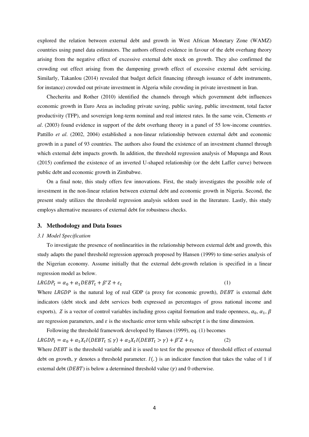explored the relation between external debt and growth in West African Monetary Zone (WAMZ) countries using panel data estimators. The authors offered evidence in favour of the debt overhang theory arising from the negative effect of excessive external debt stock on growth. They also confirmed the crowding out effect arising from the dampening growth effect of excessive external debt servicing. Similarly, Takanlou (2014) revealed that budget deficit financing (through issuance of debt instruments, for instance) crowded out private investment in Algeria while crowding in private investment in Iran.

Checherita and Rother (2010) identified the channels through which government debt influences economic growth in Euro Area as including private saving, public saving, public investment, total factor productivity (TFP), and sovereign long-term nominal and real interest rates. In the same vein, Clements *et al*. (2003) found evidence in support of the debt overhang theory in a panel of 55 low-income countries. Pattillo *et al*. (2002, 2004) established a non-linear relationship between external debt and economic growth in a panel of 93 countries. The authors also found the existence of an investment channel through which external debt impacts growth. In addition, the threshold regression analysis of Mupunga and Roux (2015) confirmed the existence of an inverted U-shaped relationship (or the debt Laffer curve) between public debt and economic growth in Zimbabwe.

On a final note, this study offers few innovations. First, the study investigates the possible role of investment in the non-linear relation between external debt and economic growth in Nigeria. Second, the present study utilizes the threshold regression analysis seldom used in the literature. Lastly, this study employs alternative measures of external debt for robustness checks.

#### **3. Methodology and Data Issues**

#### *3.1 Model Specification*

To investigate the presence of nonlinearities in the relationship between external debt and growth, this study adapts the panel threshold regression approach proposed by Hansen (1999) to time-series analysis of the Nigerian economy. Assume initially that the external debt-growth relation is specified in a linear regression model as below.

$$
LRGDP_t = \alpha_0 + \alpha_1 DEBT_t + \beta' Z + \varepsilon_t \tag{1}
$$

Where LRGDP is the natural log of real GDP (a proxy for economic growth),  $DEBT$  is external debt indicators (debt stock and debt services both expressed as percentages of gross national income and exports), Z is a vector of control variables including gross capital formation and trade openness,  $\alpha_0$ ,  $\alpha_1$ ,  $\beta$ are regression parameters, and  $\varepsilon$  is the stochastic error term while subscript t is the time dimension.

Following the threshold framework developed by Hansen (1999), eq. (1) becomes  $LRGDP_t = \alpha_0 + \alpha_1 X_t I (DEBT_t \leq \gamma) + \alpha_2 X_t I (DEBT_t > \gamma) +$  (2) Where DEBT is the threshold variable and it is used to test for the presence of threshold effect of external debt on growth,  $\gamma$  denotes a threshold parameter.  $I(.)$  is an indicator function that takes the value of 1 if external debt ( $DEBT$ ) is below a determined threshold value ( $\nu$ ) and 0 otherwise.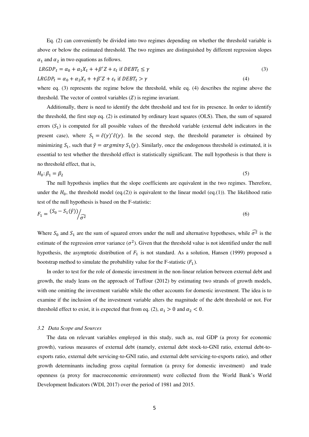Eq. (2) can conveniently be divided into two regimes depending on whether the threshold variable is above or below the estimated threshold. The two regimes are distinguished by different regression slopes  $\alpha_1$  and  $\alpha_2$  in two equations as follows.

$$
LRGDP_t = \alpha_0 + \alpha_1 X_t + \beta' Z + \varepsilon_t \text{ if } DEBT_t \le \gamma
$$
\n
$$
LRGDP_t = \alpha_0 + \alpha_2 X_t + \beta' Z + \varepsilon_t \text{ if } DEBT_t > \gamma
$$
\n
$$
(3)
$$
\n
$$
(4)
$$

where eq. (3) represents the regime below the threshold, while eq. (4) describes the regime above the threshold. The vector of control variables  $(Z)$  is regime invariant.

Additionally, there is need to identify the debt threshold and test for its presence. In order to identify the threshold, the first step eq. (2) is estimated by ordinary least squares (OLS). Then, the sum of squared errors  $(S_1)$  is computed for all possible values of the threshold variable (external debt indicators in the present case), where  $S_1 = \hat{\varepsilon}(\gamma)' \hat{\varepsilon}(\gamma)$ . In the second step, the threshold parameter is obtained by minimizing  $S_1$ , such that  $\hat{\gamma} = \argmin_{\gamma} S_1(\gamma)$ . Similarly, once the endogenous threshold is estimated, it is essential to test whether the threshold effect is statistically significant. The null hypothesis is that there is no threshold effect, that is,

$$
H_0: \beta_1 = \beta_2 \tag{5}
$$

The null hypothesis implies that the slope coefficients are equivalent in the two regimes. Therefore, under the  $H_0$ , the threshold model (eq.(2)) is equivalent to the linear model (eq.(1)). The likelihood ratio test of the null hypothesis is based on the F-statistic:

$$
F_1 = \frac{(S_0 - S_1(\hat{y}))}{\hat{\sigma}^2} \tag{6}
$$

Where  $S_0$  and  $S_1$  are the sum of squared errors under the null and alternative hypotheses, while  $\widehat{\sigma}^2$  is the estimate of the regression error variance  $(\sigma^2)$ . Given that the threshold value is not identified under the null hypothesis, the asymptotic distribution of  $F_1$  is not standard. As a solution, Hansen (1999) proposed a bootstrap method to simulate the probability value for the F-statistic  $(F_1)$ .

In order to test for the role of domestic investment in the non-linear relation between external debt and growth, the study leans on the approach of Tuffour (2012) by estimating two strands of growth models, with one omitting the investment variable while the other accounts for domestic investment. The idea is to examine if the inclusion of the investment variable alters the magnitude of the debt threshold or not. For threshold effect to exist, it is expected that from eq. (2),  $\alpha_1 > 0$  and  $\alpha_2 < 0$ .

## *3.2 Data Scope and Sources*

The data on relevant variables employed in this study, such as, real GDP (a proxy for economic growth), various measures of external debt (namely, external debt stock-to-GNI ratio, external debt-toexports ratio, external debt servicing-to-GNI ratio, and external debt servicing-to-exports ratio), and other growth determinants including gross capital formation (a proxy for domestic investment) and trade openness (a proxy for macroeconomic environment) were collected from the World Bank's World Development Indicators (WDI, 2017) over the period of 1981 and 2015.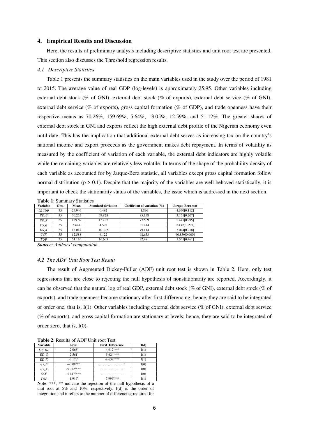#### **4. Empirical Results and Discussion**

Here, the results of preliminary analysis including descriptive statistics and unit root test are presented. This section also discusses the Threshold regression results.

#### *4.1 Descriptive Statistics*

Table 1 presents the summary statistics on the main variables used in the study over the period of 1981 to 2015. The average value of real GDP (log-levels) is approximately 25.95. Other variables including external debt stock (% of GNI), external debt stock (% of exports), external debt service (% of GNI), external debt service (% of exports), gross capital formation (% of GDP), and trade openness have their respective means as 70.26%, 159.69%, 5.64%, 13.05%, 12.59%, and 51.12%. The greater shares of external debt stock in GNI and exports reflect the high external debt profile of the Nigerian economy even until date. This has the implication that additional external debt serves as increasing tax on the country's national income and export proceeds as the government makes debt repayment. In terms of volatility as measured by the coefficient of variation of each variable, the external debt indicators are highly volatile while the remaining variables are relatively less volatile. In terms of the shape of the probability density of each variable as accounted for by Jarque-Bera statistic, all variables except gross capital formation follow normal distribution ( $p > 0.1$ ). Despite that the majority of the variables are well-behaved statistically, it is important to check the stationarity status of the variables, the issue which is addressed in the next section.

**Table 1**: Summary Statistics

| Variable | Obs. | Mean   | <b>Standard deviation</b> | Coefficient of variation $(\%)$ | Jarque-Bera stat |
|----------|------|--------|---------------------------|---------------------------------|------------------|
| LRGDP    | 35   | 25.946 | 0.492                     | 1.896                           | 4.370[0.112]     |
| ED G     | 35   | 70.255 | 59.828                    | 85.158                          | 3.151[0.207]     |
| ED X     | 35   | 159.69 | 123.87                    | 77.569                          | 2.441[0.295]     |
| ES G     | 35   | 5.644  | 4.595                     | 81.414                          | 2.439 [0.295]    |
| ES X     | 35   | 13.047 | 10.322                    | 79.114                          | 3.044[0.218]     |
| GCF      | 35   | 12.588 | 6.122                     | 48.633                          | 40.859[0.000]    |
| TOP      | 35   | 51.116 | 16.603                    | 32.481                          | 1.551[0.461]     |

*Source: Authors' computation.*

#### *4.2 The ADF Unit Root Test Result*

The result of Augmented Dickey-Fuller (ADF) unit root test is shown in Table 2. Here, only test regressions that are close to rejecting the null hypothesis of nonstationarity are reported. Accordingly, it can be observed that the natural log of real GDP, external debt stock (% of GNI), external debt stock (% of exports), and trade openness become stationary after first differencing; hence, they are said to be integrated of order one, that is, I(1). Other variables including external debt service (% of GNI), external debt service (% of exports), and gross capital formation are stationary at levels; hence, they are said to be integrated of order zero, that is, I(0).

**Table 2**: Results of ADF Unit root Test

| <b>Variable</b> | Level                    | <b>First Difference</b>  | I(d) |
|-----------------|--------------------------|--------------------------|------|
| LRGDP           | $-2.068$ <sup>a</sup>    | $-4.912$ <sup>****</sup> | I(1) |
| ED G            | $-2.561$ <sup>a</sup>    | $-5.624$ <sup>a***</sup> | I(1) |
| ED X            | $-3.120$ <sup>a</sup>    | $-4.639$ <sup>3***</sup> | I(1) |
| ES G            | $-4.008$ <sup>a**</sup>  |                          | I(0) |
| ES X            | $-5.072$ <sup>a***</sup> |                          | I(0) |
| GCF             | $-4.447^{\text{b}}$ ***  |                          | I(0) |
| <b>TOP</b>      | $-1.916^b$               | $-7.999$ <sup>p***</sup> | I(1) |

**Note**: \*\*\*, \*\* indicate the rejection of the null hypothesis of a unit root at 5% and 10%, respectively; I(d) is the order of integration and it refers to the number of differencing required for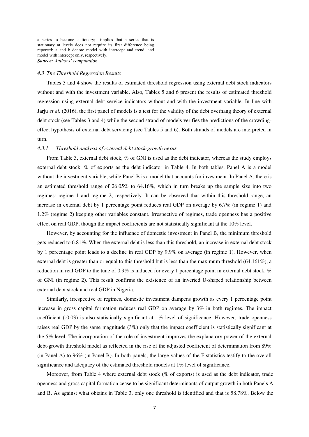a series to become stationary; †implies that a series that is stationary at levels does not require its first difference being reported; a and b denote model with intercept and trend, and model with intercept only, respectively. *Source: Authors' computation.* 

#### *4.3 The Threshold Regression Results*

Tables 3 and 4 show the results of estimated threshold regression using external debt stock indicators without and with the investment variable. Also, Tables 5 and 6 present the results of estimated threshold regression using external debt service indicators without and with the investment variable. In line with Jarju *et al*. (2016), the first panel of models is a test for the validity of the debt overhang theory of external debt stock (see Tables 3 and 4) while the second strand of models verifies the predictions of the crowdingeffect hypothesis of external debt servicing (see Tables 5 and 6). Both strands of models are interpreted in turn.

# *4.3.1 Threshold analysis of external debt stock-growth nexus*

From Table 3, external debt stock, % of GNI is used as the debt indicator, whereas the study employs external debt stock, % of exports as the debt indicator in Table 4. In both tables, Panel A is a model without the investment variable, while Panel B is a model that accounts for investment. In Panel A, there is an estimated threshold range of 26.05% to 64.16%, which in turn breaks up the sample size into two regimes: regime 1 and regime 2, respectively. It can be observed that within this threshold range, an increase in external debt by 1 percentage point reduces real GDP on average by 6.7% (in regime 1) and 1.2% (regime 2) keeping other variables constant. Irrespective of regimes, trade openness has a positive effect on real GDP, though the impact coefficients are not statistically significant at the 10% level.

However, by accounting for the influence of domestic investment in Panel B, the minimum threshold gets reduced to 6.81%. When the external debt is less than this threshold, an increase in external debt stock by 1 percentage point leads to a decline in real GDP by 9.9% on average (in regime 1). However, when external debt is greater than or equal to this threshold but is less than the maximum threshold (64.161%), a reduction in real GDP to the tune of 0.9% is induced for every 1 percentage point in external debt stock, % of GNI (in regime 2). This result confirms the existence of an inverted U-shaped relationship between external debt stock and real GDP in Nigeria.

Similarly, irrespective of regimes, domestic investment dampens growth as every 1 percentage point increase in gross capital formation reduces real GDP on average by 3% in both regimes. The impact coefficient (-0.03) is also statistically significant at 1% level of significance. However, trade openness raises real GDP by the same magnitude (3%) only that the impact coefficient is statistically significant at the 5% level. The incorporation of the role of investment improves the explanatory power of the external debt-growth threshold model as reflected in the rise of the adjusted coefficient of determination from 89% (in Panel A) to 96% (in Panel B). In both panels, the large values of the F-statistics testify to the overall significance and adequacy of the estimated threshold models at 1% level of significance.

Moreover, from Table 4 where external debt stock (% of exports) is used as the debt indicator, trade openness and gross capital formation cease to be significant determinants of output growth in both Panels A and B. As against what obtains in Table 3, only one threshold is identified and that is 58.78%. Below the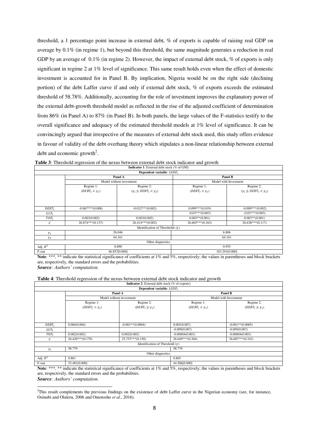threshold, a 1 percentage point increase in external debt, % of exports is capable of raising real GDP on average by 0.1% (in regime 1), but beyond this threshold, the same magnitude generates a reduction in real GDP by an average of  $0.1\%$  (in regime 2). However, the impact of external debt stock, % of exports is only significant in regime 2 at 1% level of significance. This same result holds even when the effect of domestic investment is accounted for in Panel B. By implication, Nigeria would be on the right side (declining portion) of the debt Laffer curve if and only if external debt stock, % of exports exceeds the estimated threshold of 58.78%. Additionally, accounting for the role of investment improves the explanatory power of the external debt-growth threshold model as reflected in the rise of the adjusted coefficient of determination from 86% (in Panel A) to 87% (in Panel B). In both panels, the large values of the F-statistics testify to the overall significance and adequacy of the estimated threshold models at 1% level of significance. It can be convincingly argued that irrespective of the measures of external debt stock used, this study offers evidence in favour of validity of the debt overhang theory which stipulates a non-linear relationship between external debt and economic growth<sup>2</sup>.

|                       |                                            | Panel B                                                                                                 |                                                                                                                                                    |  |
|-----------------------|--------------------------------------------|---------------------------------------------------------------------------------------------------------|----------------------------------------------------------------------------------------------------------------------------------------------------|--|
|                       |                                            | Model with Investment                                                                                   |                                                                                                                                                    |  |
| Regime 1:             | Regime 2:                                  | Regime 1:                                                                                               | Regime 2:                                                                                                                                          |  |
| $(DEBT_t < \gamma_1)$ | $(\gamma_1 \leq \text{DEBT}_t < \gamma_2)$ | $(DEBT_t < \gamma_1)$                                                                                   | $(\gamma_1 \leq \text{DEBT}_t < \gamma_2)$                                                                                                         |  |
|                       |                                            |                                                                                                         |                                                                                                                                                    |  |
|                       |                                            |                                                                                                         |                                                                                                                                                    |  |
|                       |                                            |                                                                                                         |                                                                                                                                                    |  |
|                       |                                            |                                                                                                         | $-0.009***(0.002)$                                                                                                                                 |  |
|                       |                                            | $-0.03***(0.003)$                                                                                       | $-0.03***(0.003)$                                                                                                                                  |  |
| 0.003(0.002)          | 0.003(0.002)                               | $0.003**$ (0.001)                                                                                       | $0.003**$ (0.001)                                                                                                                                  |  |
| $26.874***(0.137)$    | $26.414***(0.002)$                         | $26.665***(0.163)$                                                                                      | $26.638***(0.117)$                                                                                                                                 |  |
|                       |                                            |                                                                                                         |                                                                                                                                                    |  |
|                       |                                            | 6.806                                                                                                   |                                                                                                                                                    |  |
|                       |                                            | 64.161                                                                                                  |                                                                                                                                                    |  |
|                       | Other diagnostics                          |                                                                                                         |                                                                                                                                                    |  |
|                       |                                            | 0.955                                                                                                   |                                                                                                                                                    |  |
|                       |                                            |                                                                                                         | 103.291[0.000]                                                                                                                                     |  |
|                       | $-0.067***(0.008)$                         | Panel A<br>Model without investment<br>$-0.012***(0.002)$<br>26.046<br>64.161<br>0.890<br>46.857[0.000] | <b>Indicator 1:</b> External debt stock (% of GNI)<br>Dependent variable: $LGDP_t$<br>$0.099***(0.019)$<br>Identification of Thresholds $(\gamma)$ |  |

| <b>Table 3:</b> Threshold regression of the nexus between external debt stock indicator and growth |  |                                                                                                                                                                                                                                                                                                                                           |  |
|----------------------------------------------------------------------------------------------------|--|-------------------------------------------------------------------------------------------------------------------------------------------------------------------------------------------------------------------------------------------------------------------------------------------------------------------------------------------|--|
|                                                                                                    |  | $\mathbf{F}$ . $\mathbf{F}$ . $\mathbf{F}$ . $\mathbf{F}$ . $\mathbf{F}$ . $\mathbf{F}$ . $\mathbf{F}$ . $\mathbf{F}$ . $\mathbf{F}$ . $\mathbf{F}$ . $\mathbf{F}$ . $\mathbf{F}$ . $\mathbf{F}$ . $\mathbf{F}$ . $\mathbf{F}$ . $\mathbf{F}$ . $\mathbf{F}$ . $\mathbf{F}$ . $\mathbf{F}$ . $\mathbf{F}$ . $\mathbf{F}$ . $\mathbf{F}$ . |  |

Note: \*\*\*, \*\* indicate the statistical significance of coefficients at 1% and 5%, respectively; the values in parentheses and block brackets are, respectively, the standard errors and the probabilities.

*Source: Authors' computation.*

**Table 4**: Threshold regression of the nexus between external debt stock indicator and growth

|            |                       | <b>Indicator 2:</b> External debt stock (% of exports) |                                  |                          |  |
|------------|-----------------------|--------------------------------------------------------|----------------------------------|--------------------------|--|
|            |                       | Dependent variable: $LGDP_t$                           |                                  |                          |  |
|            |                       | Panel A                                                | Panel B<br>Model with Investment |                          |  |
|            |                       | Model without investment                               |                                  |                          |  |
|            | Regime 1:             | Regime 2:                                              | Regime 1:                        | Regime 2:                |  |
|            | $(DEBT_t < \gamma_1)$ | $(DEBT_t \geq \gamma_1)$                               | $(DEBT_t < \gamma_1)$            | $(DEBT_t \geq \gamma_1)$ |  |
|            |                       |                                                        |                                  |                          |  |
|            |                       |                                                        |                                  |                          |  |
|            |                       |                                                        |                                  |                          |  |
| $DEBT_t$   | 0.004(0.004)          | $-0.001**$ (0.0004)                                    | 0.003(0.007)                     | $-0.001**$ (0.0005)      |  |
| $GCF_t$    |                       |                                                        | $-0.009(0.007)$                  | $-0.009(0.007)$          |  |
| $TOP_t$    | 0.002(0.002)          | 0.002(0.002)                                           | $-0.00004(0.003)$                | $-0.00004(0.003)$        |  |
| C          | $26.420***(0.179)$    | $25.753***(0.150)$                                     | $26.649***(0.304)$               | $26.007***(0.343)$       |  |
|            |                       | Identification of Threshold $(\gamma)$                 |                                  |                          |  |
| $\gamma_1$ | 58.779                |                                                        | 58.779                           |                          |  |
|            |                       | Other diagnostics                                      |                                  |                          |  |
| Adj. $R^2$ | 0.861                 |                                                        | 0.865                            |                          |  |
| F-stat     | 53.481[0.000]         |                                                        | 44.586[0.000]                    |                          |  |

Note: \*\*\*, \*\* indicate the statistical significance of coefficients at 1% and 5%, respectively; the values in parentheses and block brackets are, respectively, the standard errors and the probabilities.

*Source: Authors' computation.*  $\overline{a}$ 

<sup>&</sup>lt;sup>2</sup>This result complements the previous findings on the existence of debt Laffer curve in the Nigerian economy (see, for instance, Osinubi and Olaleru, 2006 and Omotosho *et al*., 2016).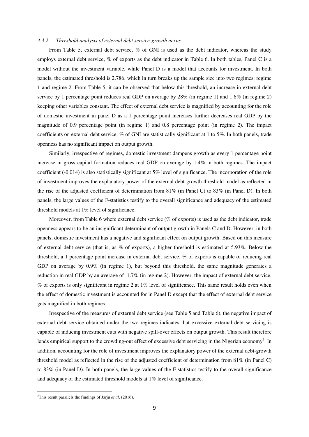#### *4.3.2 Threshold analysis of external debt service-growth nexus*

From Table 5, external debt service, % of GNI is used as the debt indicator, whereas the study employs external debt service, % of exports as the debt indicator in Table 6. In both tables, Panel C is a model without the investment variable, while Panel D is a model that accounts for investment. In both panels, the estimated threshold is 2.786, which in turn breaks up the sample size into two regimes: regime 1 and regime 2. From Table 5, it can be observed that below this threshold, an increase in external debt service by 1 percentage point reduces real GDP on average by 28% (in regime 1) and 1.6% (in regime 2) keeping other variables constant. The effect of external debt service is magnified by accounting for the role of domestic investment in panel D as a 1 percentage point increases further decreases real GDP by the magnitude of 0.9 percentage point (in regime 1) and 0.8 percentage point (in regime 2). The impact coefficients on external debt service, % of GNI are statistically significant at 1 to 5%. In both panels, trade openness has no significant impact on output growth.

Similarly, irrespective of regimes, domestic investment dampens growth as every 1 percentage point increase in gross capital formation reduces real GDP on average by 1.4% in both regimes. The impact coefficient (-0.014) is also statistically significant at 5% level of significance. The incorporation of the role of investment improves the explanatory power of the external debt-growth threshold model as reflected in the rise of the adjusted coefficient of determination from 81% (in Panel C) to 83% (in Panel D). In both panels, the large values of the F-statistics testify to the overall significance and adequacy of the estimated threshold models at 1% level of significance.

Moreover, from Table 6 where external debt service (% of exports) is used as the debt indicator, trade openness appears to be an insignificant determinant of output growth in Panels C and D. However, in both panels, domestic investment has a negative and significant effect on output growth. Based on this measure of external debt service (that is, as  $\%$  of exports), a higher threshold is estimated at 5.93%. Below the threshold, a 1 percentage point increase in external debt service, % of exports is capable of reducing real GDP on average by  $0.9\%$  (in regime 1), but beyond this threshold, the same magnitude generates a reduction in real GDP by an average of 1.7% (in regime 2). However, the impact of external debt service, % of exports is only significant in regime 2 at 1% level of significance. This same result holds even when the effect of domestic investment is accounted for in Panel D except that the effect of external debt service gets magnified in both regimes.

Irrespective of the measures of external debt service (see Table 5 and Table 6), the negative impact of external debt service obtained under the two regimes indicates that excessive external debt servicing is capable of inducing investment cuts with negative spill-over effects on output growth. This result therefore lends empirical support to the crowding-out effect of excessive debt servicing in the Nigerian economy<sup>3</sup>. In addition, accounting for the role of investment improves the explanatory power of the external debt-growth threshold model as reflected in the rise of the adjusted coefficient of determination from 81% (in Panel C) to 83% (in Panel D). In both panels, the large values of the F-statistics testify to the overall significance and adequacy of the estimated threshold models at 1% level of significance.

 $\overline{a}$ 

<sup>3</sup> This result parallels the findings of Jarju *et al*. (2016).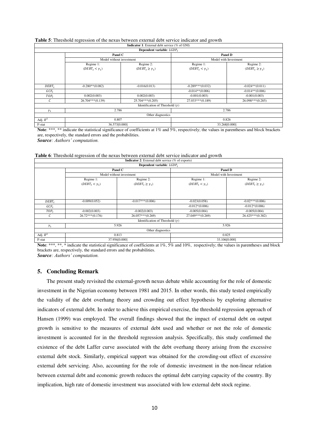|                     |                          | <b>Indicator 1:</b> External debt service (% of GNI) |                                  |                          |  |
|---------------------|--------------------------|------------------------------------------------------|----------------------------------|--------------------------|--|
|                     |                          | Dependent variable: $LGDP_t$                         |                                  |                          |  |
|                     | Panel C                  |                                                      | Panel D<br>Model with Investment |                          |  |
|                     | Model without investment |                                                      |                                  |                          |  |
|                     | Regime 1:                | Regime 2:                                            | Regime 1:                        | Regime 2:                |  |
|                     | $(DEBT_t < \gamma_1)$    | $(DEBT_t \geq \gamma_1)$                             | $(DEBT_t < \gamma_1)$            | $(DEBT_t \geq \gamma_1)$ |  |
|                     |                          |                                                      |                                  |                          |  |
|                     |                          |                                                      |                                  |                          |  |
|                     |                          |                                                      |                                  |                          |  |
| $DEBT_t$            | $-0.280**$ (0.082)       | $-0.016(0.013)$                                      | $-0.289***(0.032)$               | $-0.024**$ (0.011)       |  |
| $GCF_t$             |                          |                                                      | $-0.014**$ (0.006)               | $-0.014**$ (0.006)       |  |
| $TOP_t$             | 0.002(0.003)             | 0.002(0.003)                                         | $-0.001(0.003)$                  | $-0.001(0.003)$          |  |
| C                   | $26.704***(0.139)$       | $25.704***(0.205)$                                   | $27.033***(0.189)$               | $26.098***(0.285)$       |  |
|                     |                          | Identification of Threshold $(\gamma)$               |                                  |                          |  |
| 2.786<br>$\gamma_1$ |                          |                                                      | 2.786                            |                          |  |
|                     |                          | Other diagnostics                                    |                                  |                          |  |
| Adj. $R^2$          | 0.807                    |                                                      | 0.826                            |                          |  |
| F-stat              | 36.573[0.000]            |                                                      |                                  | 33.268[0.000]            |  |

# **Table 5**: Threshold regression of the nexus between external debt service indicator and growth

Note: \*\*\*, \*\* indicate the statistical significance of coefficients at 1% and 5%, respectively; the values in parentheses and block brackets are, respectively, the standard errors and the probabilities.

*Source: Authors' computation.*

| Table 6: Threshold regression of the nexus between external debt service indicator and growth |  |                                                          |  |
|-----------------------------------------------------------------------------------------------|--|----------------------------------------------------------|--|
|                                                                                               |  | <b>Indicator 2:</b> External debt service (% of exports) |  |

|                  |                       | <b>Indicator</b> $\boldsymbol{\Sigma}$ . External debt service ( $\boldsymbol{\varnothing}$ of exports) |                                  |                          |  |
|------------------|-----------------------|---------------------------------------------------------------------------------------------------------|----------------------------------|--------------------------|--|
|                  |                       | Dependent variable: $LGDP_t$                                                                            |                                  |                          |  |
|                  |                       | Panel C                                                                                                 | Panel D<br>Model with Investment |                          |  |
|                  |                       | Model without investment                                                                                |                                  |                          |  |
|                  | Regime 1:             | Regime 2:                                                                                               | Regime 1:                        | Regime 2:                |  |
|                  | $(DEBT_t < \gamma_1)$ | $(DEBT_t \geq \gamma_1)$                                                                                | $(DEBT_t < \gamma_1)$            | $(DEBT_t \geq \gamma_1)$ |  |
|                  |                       |                                                                                                         |                                  |                          |  |
|                  |                       |                                                                                                         |                                  |                          |  |
|                  |                       |                                                                                                         |                                  |                          |  |
| $DEBT_t$         | $-0.009(0.052)$       | $-0.017***(0.006)$                                                                                      | $-0.023(0.058)$                  | $-0.02***(0.006)$        |  |
| GCF <sub>r</sub> |                       |                                                                                                         | $-0.012*(0.006)$                 | $-0.012*(0.006)$         |  |
| $TOP_t$          | $-0.002(0.003)$       | $-0.002(0.003)$                                                                                         | $-0.005(0.004)$                  | $-0.005(0.004)$          |  |
| C                | $26.72***(0.176)$     | $26.057***(0.269)$                                                                                      | 27.049***(0.269)                 | $26.425***(0.382)$       |  |
|                  |                       | Identification of Threshold $(\gamma)$                                                                  |                                  |                          |  |
| $\gamma_1$       |                       | 5.926                                                                                                   |                                  | 5.926                    |  |
|                  |                       | Other diagnostics                                                                                       |                                  |                          |  |
| Adj. $R^2$       |                       | 0.813                                                                                                   | 0.825                            |                          |  |
| F-stat           |                       | 37.956[0.000]                                                                                           |                                  | 33.106[0.000]            |  |

Note: \*\*\*, \*\*, \* indicate the statistical significance of coefficients at 1%, 5% and 10%, respectively; the values in parentheses and block brackets are, respectively, the standard errors and the probabilities.

*Source: Authors' computation.*

# **5. Concluding Remark**

The present study revisited the external-growth nexus debate while accounting for the role of domestic investment in the Nigerian economy between 1981 and 2015. In other words, this study tested empirically the validity of the debt overhang theory and crowding out effect hypothesis by exploring alternative indicators of external debt. In order to achieve this empirical exercise, the threshold regression approach of Hansen (1999) was employed. The overall findings showed that the impact of external debt on output growth is sensitive to the measures of external debt used and whether or not the role of domestic investment is accounted for in the threshold regression analysis. Specifically, this study confirmed the existence of the debt Laffer curve associated with the debt overhang theory arising from the excessive external debt stock. Similarly, empirical support was obtained for the crowding-out effect of excessive external debt servicing. Also, accounting for the role of domestic investment in the non-linear relation between external debt and economic growth reduces the optimal debt carrying capacity of the country. By implication, high rate of domestic investment was associated with low external debt stock regime.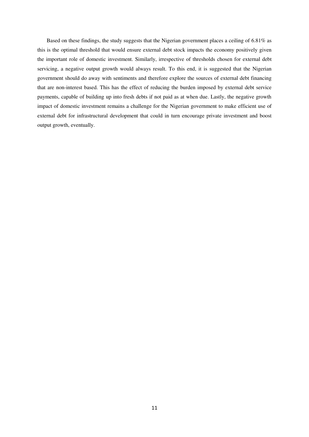Based on these findings, the study suggests that the Nigerian government places a ceiling of 6.81% as this is the optimal threshold that would ensure external debt stock impacts the economy positively given the important role of domestic investment. Similarly, irrespective of thresholds chosen for external debt servicing, a negative output growth would always result. To this end, it is suggested that the Nigerian government should do away with sentiments and therefore explore the sources of external debt financing that are non-interest based. This has the effect of reducing the burden imposed by external debt service payments, capable of building up into fresh debts if not paid as at when due. Lastly, the negative growth impact of domestic investment remains a challenge for the Nigerian government to make efficient use of external debt for infrastructural development that could in turn encourage private investment and boost output growth, eventually.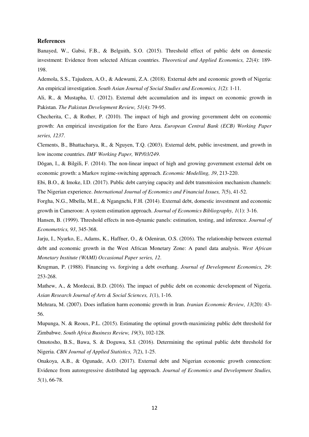#### **References**

Banayed, W., Gabsi, F.B., & Belguith, S.O. (2015). Threshold effect of public debt on domestic investment: Evidence from selected African countries. *Theoretical and Applied Economics, 22*(4): 189- 198.

Ademola, S.S., Tajudeen, A.O., & Adewumi, Z.A. (2018). External debt and economic growth of Nigeria: An empirical investigation. *South Asian Journal of Social Studies and Economics, 1*(2): 1-11.

Ali, R., & Mustapha, U. (2012). External debt accumulation and its impact on economic growth in Pakistan. *The Pakistan Development Review, 51*(4): 79-95.

Checherita, C., & Rother, P. (2010). The impact of high and growing government debt on economic growth: An empirical investigation for the Euro Area. *European Central Bank (ECB) Working Paper series, 1237*.

Clements, B., Bhattacharya, R., & Nguyen, T.Q. (2003). External debt, public investment, and growth in low income countries. *IMF Working Paper, WP/03/249*.

Dǒgan, I., & Bilgili, F. (2014). The non-linear impact of high and growing government external debt on economic growth: a Markov regime-switching approach. *Economic Modelling, 39*, 213-220.

Ebi, B.O., & Imoke, I.D. (2017). Public debt carrying capacity and debt transmission mechanism channels: The Nigerian experience. *International Journal of Economics and Financial Issues, 7*(5), 41-52.

Forgha, N.G., Mbella, M.E., & Ngangnchi, F.H. (2014). External debt, domestic investment and economic growth in Cameroon: A system estimation approach. *Journal of Economics Bibliography, 1*(1): 3-16.

Hansen, B. (1999). Threshold effects in non-dynamic panels: estimation, testing, and inference. *Journal of Econometrics, 93*, 345-368.

Jarju, I., Nyarko, E., Adams, K., Haffner, O., & Odeniran, O.S. (2016). The relationship between external debt and economic growth in the West African Monetary Zone: A panel data analysis. *West African Monetary Institute (WAMI) Occasional Paper series, 12*.

Krugman, P. (1988). Financing vs. forgiving a debt overhang. *Journal of Development Economics, 29*: 253-268.

Mathew, A., & Mordecai, B.D. (2016). The impact of public debt on economic development of Nigeria. *Asian Research Journal of Arts & Social Sciences, 1*(1), 1-16.

Mehrara, M. (2007). Does inflation harm economic growth in Iran. *Iranian Economic Review, 13*(20): 43- 56.

Mupunga, N. & Reoux, P.L. (2015). Estimating the optimal growth-maximizing public debt threshold for Zimbabwe. *South Africa Business Review, 19*(3), 102-128.

Omotosho, B.S., Bawa, S. & Doguwa, S.I. (2016). Determining the optimal public debt threshold for Nigeria. *CBN Journal of Applied Statistics, 7*(2), 1-25.

Onakoya, A.B., & Ogunade, A.O. (2017). External debt and Nigerian economic growth connection: Evidence from autoregressive distributed lag approach. *Journal of Economics and Development Studies, 5*(1), 66-78.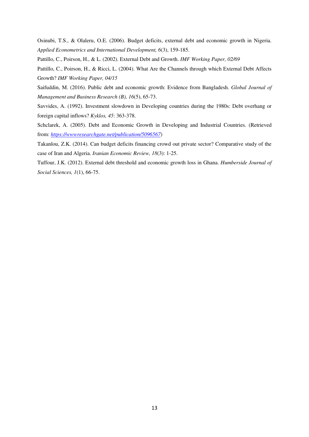Osinubi, T.S., & Olaleru, O.E. (2006). Budget deficits, external debt and economic growth in Nigeria. *Applied Econometrics and International Development, 6*(3), 159-185.

Pattillo, C., Poirson, H., & L. (2002). External Debt and Growth. *IMF Working Paper, 02/69*

Pattillo, C., Poirson, H., & Ricci, L. (2004). What Are the Channels through which External Debt Affects Growth? *IMF Working Paper, 04/15*

Saifuddin, M. (2016). Public debt and economic growth: Evidence from Bangladesh. *Global Journal of Management and Business Research (B), 16*(5), 65-73.

Savvides, A. (1992). Investment slowdown in Developing countries during the 1980s: Debt overhang or foreign capital inflows? *Kyklos, 45*: 363-378.

Schclarek, A. (2005). Debt and Economic Growth in Developing and Industrial Countries. (Retrieved from: *<https://wwwresearchgate.net/publication/5096567>*)

Takanlou, Z.K. (2014). Can budget deficits financing crowd out private sector? Comparative study of the case of Iran and Algeria. *Iranian Economic Review, 18*(3): 1-25.

Tuffour, J.K. (2012). External debt threshold and economic growth loss in Ghana. *Humberside Journal of Social Sciences, 1*(1), 66-75.